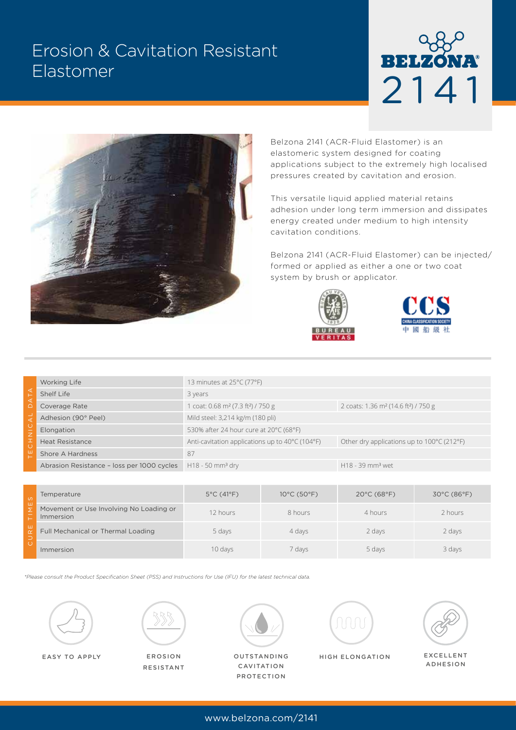# Erosion & Cavitation Resistant Elastomer





Belzona 2141 (ACR-Fluid Elastomer) is an elastomeric system designed for coating applications subject to the extremely high localised pressures created by cavitation and erosion.

This versatile liquid applied material retains adhesion under long term immersion and dissipates energy created under medium to high intensity cavitation conditions.

Belzona 2141 (ACR-Fluid Elastomer) can be injected/ formed or applied as either a one or two coat system by brush or applicator.





|                                                       | <b>Working Life</b>                        | 13 minutes at $25^{\circ}$ C (77 $^{\circ}$ F)           |                                                                 |  |  |  |
|-------------------------------------------------------|--------------------------------------------|----------------------------------------------------------|-----------------------------------------------------------------|--|--|--|
| ◅<br>C<br>$\triangleleft$<br>٠<br>$\overline{z}$<br>ᆚ | Shelf Life                                 | 3 years                                                  |                                                                 |  |  |  |
|                                                       | Coverage Rate                              | coat: 0.68 m <sup>2</sup> (7.3 ft <sup>2</sup> ) / 750 g | 2 coats: 1.36 m <sup>2</sup> (14.6 ft <sup>2</sup> ) / 750 g    |  |  |  |
|                                                       | Adhesion (90° Peel)                        | Mild steel: 3,214 kg/m (180 pli)                         |                                                                 |  |  |  |
|                                                       | Elongation                                 | 530% after 24 hour cure at 20°C (68°F)                   |                                                                 |  |  |  |
|                                                       | <b>Heat Resistance</b>                     | Anti-cavitation applications up to 40°C (104°F)          | Other dry applications up to $100^{\circ}$ C (212 $^{\circ}$ F) |  |  |  |
|                                                       | Shore A Hardness                           | 87                                                       |                                                                 |  |  |  |
|                                                       | Abrasion Resistance - loss per 1000 cycles | $H18 - 50$ mm <sup>3</sup> dry                           | H18 - 39 mm <sup>3</sup> wet                                    |  |  |  |

| $\omega$ | Temperature                                          | $5^{\circ}$ C (41 $^{\circ}$ F) | $10^{\circ}$ C (50 $^{\circ}$ F) | $20^{\circ}$ C (68 $^{\circ}$ F) | $30^{\circ}$ C (86 $^{\circ}$ F) |
|----------|------------------------------------------------------|---------------------------------|----------------------------------|----------------------------------|----------------------------------|
| ш        | Movement or Use Involving No Loading or<br>Immersion | 12 hours                        | 8 hours                          | 4 hours                          | 2 hours                          |
| ш        | Full Mechanical or Thermal Loading                   | 5 days                          | 4 days                           | 2 days                           | 2 days                           |
|          | Immersion                                            | 10 days                         | 7 days                           | 5 days                           | 3 days                           |

*\*Please consult the Product Specification Sheet (PSS) and Instructions for Use (IFU) for the latest technical data.*





EROSION RESISTANT



OUTSTANDING CAVITATION PROTECTION



EASY TO APPLY EXCELLENT HIGH ELONGATION



ADHESION

www.belzona.com/2141